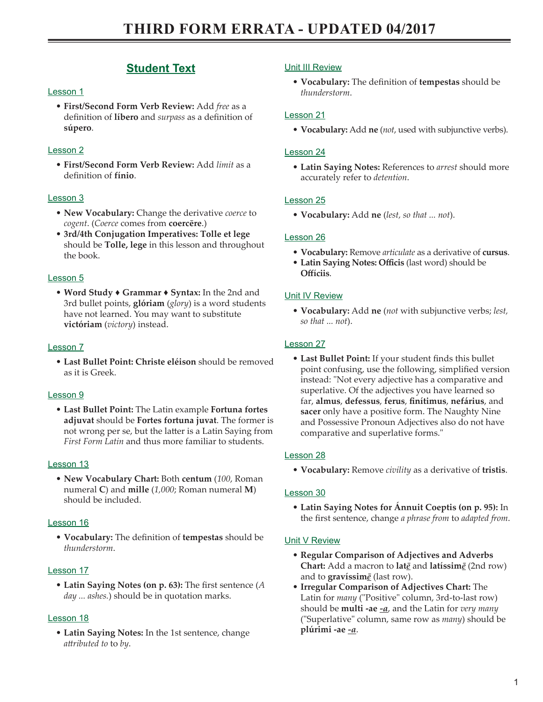# **Student Text**

# Lesson 1

• **First/Second Form Verb Review:** Add *free* as a definition of **líbero** and *surpass* as a definition of **súpero**.

# Lesson 2

• **First/Second Form Verb Review:** Add *limit* as a definition of **fínio**.

# Lesson 3

- **New Vocabulary:** Change the derivative *coerce* to *cogent*. (*Coerce* comes from **coercēre**.)
- **3rd/4th Conjugation Imperatives: Tolle et lege** should be **Tolle, lege** in this lesson and throughout the book.

# Lesson 5

• **Word Study ♦ Grammar ♦ Syntax:** In the 2nd and 3rd bullet points, **glóriam** (*glory*) is a word students have not learned. You may want to substitute **victóriam** (*victory*) instead.

# Lesson 7

• **Last Bullet Point: Christe eléison** should be removed as it is Greek.

## Lesson 9

• **Last Bullet Point:** The Latin example **Fortuna fortes adjuvat** should be **Fortes fortuna juvat**. The former is not wrong per se, but the latter is a Latin Saying from *First Form Latin* and thus more familiar to students.

## Lesson 13

• **New Vocabulary Chart:** Both **centum** (*100*, Roman numeral **C**) and **mille** (*1,000*; Roman numeral **M**) should be included.

## Lesson 16

• **Vocabulary:** The definition of **tempestas** should be *thunderstorm*.

# Lesson 17

• **Latin Saying Notes (on p. 63):** The first sentence (*A day ... ashes.*) should be in quotation marks.

## Lesson 18

• **Latin Saying Notes:** In the 1st sentence, change *attributed to* to *by*.

# Unit III Review

• **Vocabulary:** The definition of **tempestas** should be *thunderstorm*.

# Lesson 21

• **Vocabulary:** Add **ne** (*not*, used with subjunctive verbs).

# Lesson 24

• **Latin Saying Notes:** References to *arrest* should more accurately refer to *detention*.

# Lesson 25

• **Vocabulary:** Add **ne** (*lest, so that ... not*).

# Lesson 26

- **Vocabulary:** Remove *articulate* as a derivative of **cursus**.
- **Latin Saying Notes: Officis** (last word) should be **Offíciis**.

# Unit IV Review

• **Vocabulary:** Add **ne** (*not* with subjunctive verbs; *lest, so that ... not*).

# Lesson 27

• **Last Bullet Point:** If your student finds this bullet point confusing, use the following, simplified version instead: "Not every adjective has a comparative and superlative. Of the adjectives you have learned so far, **almus**, **defessus**, **ferus**, **finítimus**, **nefárius**, and **sacer** only have a positive form. The Naughty Nine and Possessive Pronoun Adjectives also do not have comparative and superlative forms."

## Lesson 28

• **Vocabulary:** Remove *civility* as a derivative of **tristis**.

## Lesson 30

• **Latin Saying Notes for Ánnuit Coeptis (on p. 95):** In the first sentence, change *a phrase from* to *adapted from*.

## Unit V Review

- **Regular Comparison of Adjectives and Adverbs Chart:** Add a macron to **lat***ē* and **latíssim***ē* (2nd row) and to **gravíssim***ē* (last row).
- **Irregular Comparison of Adjectives Chart:** The Latin for *many* ("Positive" column, 3rd-to-last row) should be **multi -ae** *-a*, and the Latin for *very many* ("Superlative" column, same row as *many*) should be **plúrimi -ae** *-a*.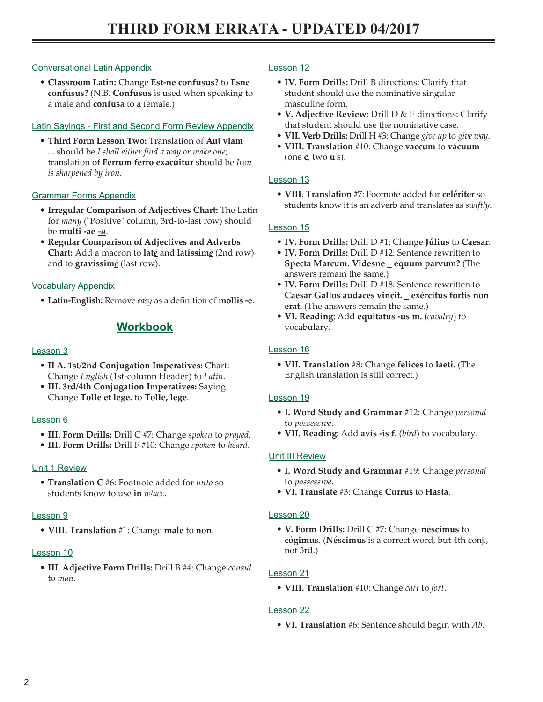# Conversational Latin Appendix

• **Classroom Latin:** Change **Est-ne confusus?** to **Esne confusus?** (N.B. **Confusus** is used when speaking to a male and **confusa** to a female.)

# Latin Sayings - First and Second Form Review Appendix

• **Third Form Lesson Two:** Translation of **Aut viam ...** should be *I shall either find a way or make one*; translation of **Ferrum ferro exacúitur** should be *Iron is sharpened by iron*.

# Grammar Forms Appendix

- **Irregular Comparison of Adjectives Chart:** The Latin for *many* ("Positive" column, 3rd-to-last row) should be **multi -ae** *-a*.
- **Regular Comparison of Adjectives and Adverbs Chart:** Add a macron to **lat***ē* and **latíssim***ē* (2nd row) and to **gravíssim***ē* (last row).

## Vocabulary Appendix

• **Latin-English:** Remove *easy* as a definition of **mollis -e**.

# **Workbook**

### Lesson 3

- **II A. 1st/2nd Conjugation Imperatives:** Chart: Change *English* (1st-column Header) to *Latin*.
- **III. 3rd/4th Conjugation Imperatives:** Saying: Change **Tolle et lege.** to **Tolle, lege**.

#### Lesson 6

- **III. Form Drills:** Drill C #7: Change *spoken* to *prayed*.
- **III. Form Drills:** Drill F #10: Change *spoken* to *heard*.

## Unit 1 Review

• **Translation C** #6: Footnote added for *unto* so students know to use **in** *w/acc*.

#### Lesson 9

• **VIII. Translation** #1: Change **male** to **non**.

#### Lesson 10

• **III. Adjective Form Drills:** Drill B #4: Change *consul* to *man*.

### Lesson 12

- **IV. Form Drills:** Drill B directions: Clarify that student should use the nominative singular masculine form.
- **V. Adjective Review:** Drill D & E directions: Clarify that student should use the nominative case.
- **VII. Verb Drills:** Drill H #3: Change *give up* to *give way*.
- **VIII. Translation** #10: Change **vaccum** to **vácuum** (one **c**, two **u**'s).

### Lesson 13

• **VIII. Translation** #7: Footnote added for **celériter** so students know it is an adverb and translates as *swiftly*.

### Lesson 15

- **IV. Form Drills:** Drill D #1: Change **Július** to **Caesar**.
- **IV. Form Drills:** Drill D #12: Sentence rewritten to **Specta Marcum. Videsne \_ equum parvum?** (The answers remain the same.)
- **IV. Form Drills:** Drill D #18: Sentence rewritten to **Caesar Gallos audaces vincit. \_ exércitus fortis non erat.** (The answers remain the same.)
- **VI. Reading:** Add **equitatus -ūs m.** (*cavalry*) to vocabulary.

### Lesson 16

• **VII. Translation** #8: Change **felices** to **laeti**. (The English translation is still correct.)

#### Lesson 19

- **I. Word Study and Grammar** #12: Change *personal* to *possessive*.
- **VII. Reading:** Add **avis -is f.** (*bird*) to vocabulary.

## Unit III Review

- **I. Word Study and Grammar** #19: Change *personal* to *possessive*.
- **VI. Translate** #3: Change **Currus** to **Hasta**.

#### Lesson 20

• **V. Form Drills:** Drill C #7: Change **néscimus** to **cógimus**. (**Néscimus** is a correct word, but 4th conj., not 3rd.)

## Lesson 21

• **VIII. Translation** #10: Change *cart* to *fort*.

## Lesson 22

• **VI. Translation** #6: Sentence should begin with *Ab*.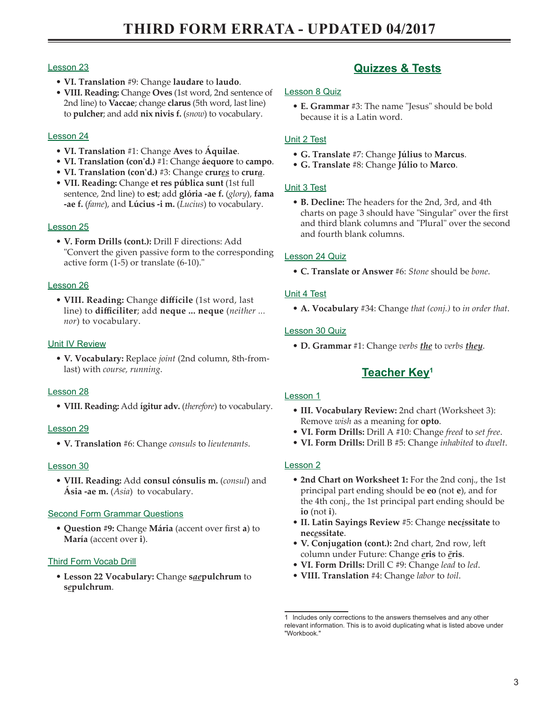# Lesson 23

- **VI. Translation** #9: Change **laudare** to **laudo**.
- **VIII. Reading:** Change **Oves** (1st word, 2nd sentence of 2nd line) to **Vaccae**; change **clarus** (5th word, last line) to **pulcher**; and add **nix nivis f.** (*snow*) to vocabulary.

# Lesson 24

- **VI. Translation** #1: Change **Aves** to **Áquilae**.
- **VI. Translation (con'd.)** #1: Change **áequore** to **campo**.
- **VI. Translation (con'd.)** #3: Change **crur***es* to **crur***a*.
- **VII. Reading:** Change **et res pública sunt** (1st full sentence, 2nd line) to **est**; add **glória -ae f.** (*glory*), **fama -ae f.** (*fame*), and **Lúcius -i m.** (*Lucius*) to vocabulary.

## Lesson 25

• **V. Form Drills (cont.):** Drill F directions: Add "Convert the given passive form to the corresponding active form (1-5) or translate (6-10)."

### Lesson 26

• **VIII. Reading:** Change **diffícile** (1st word, last line) to **difficíliter**; add **neque ... neque** (*neither ... nor*) to vocabulary.

## Unit IV Review

• **V. Vocabulary:** Replace *joint* (2nd column, 8th-fromlast) with *course, running*.

## Lesson 28

• **VIII. Reading:** Add **ígitur adv.** (*therefore*) to vocabulary.

## Lesson 29

• **V. Translation** #6: Change *consuls* to *lieutenants*.

#### Lesson 30

• **VIII. Reading:** Add **consul cónsulis m.** (*consul*) and **Ásia -ae m.** (*Asia*) to vocabulary.

# Second Form Grammar Questions

• **Question #9:** Change **Mária** (accent over first **a**) to **María** (accent over **i**).

## Third Form Vocab Drill

• **Lesson 22 Vocabulary:** Change **s***ae***pulchrum** to **s***e***pulchrum**.

# **Quizzes & Tests**

### Lesson 8 Quiz

• **E. Grammar** #3: The name "Jesus" should be bold because it is a Latin word.

# Unit 2 Test

- **G. Translate** #7: Change **Július** to **Marcus**.
- **G. Translate** #8: Change **Júlio** to **Marco**.

### Unit 3 Test

• **B. Decline:** The headers for the 2nd, 3rd, and 4th charts on page 3 should have "Singular" over the first and third blank columns and "Plural" over the second and fourth blank columns.

## Lesson 24 Quiz

• **C. Translate or Answer** #6: *Stone* should be *bone*.

## Unit 4 Test

• **A. Vocabulary** #34: Change *that (conj.)* to *in order that*.

## Lesson 30 Quiz

• **D. Grammar** #1: Change *verbs the* to *verbs they*.

# **Teacher Key1**

#### Lesson 1

- **III. Vocabulary Review:** 2nd chart (Worksheet 3): Remove *wish* as a meaning for **opto**.
- **VI. Form Drills:** Drill A #10: Change *freed* to *set free*.
- **VI. Form Drills:** Drill B #5: Change *inhabited* to *dwelt*.

## Lesson 2

- **2nd Chart on Worksheet 1:** For the 2nd conj., the 1st principal part ending should be **eo** (not **e**), and for the 4th conj., the 1st principal part ending should be **io** (not **i**).
- **II. Latin Sayings Review** #5: Change **nec***i***ssitate** to **nec***e***ssitate**.
- **V. Conjugation (cont.):** 2nd chart, 2nd row, left column under Future: Change *e***ris** to *ē***ris**.
- **VI. Form Drills:** Drill C #9: Change *lead* to *led*.
- **VIII. Translation** #4: Change *labor* to *toil*.

<sup>1</sup> Includes only corrections to the answers themselves and any other relevant information. This is to avoid duplicating what is listed above under "Workbook."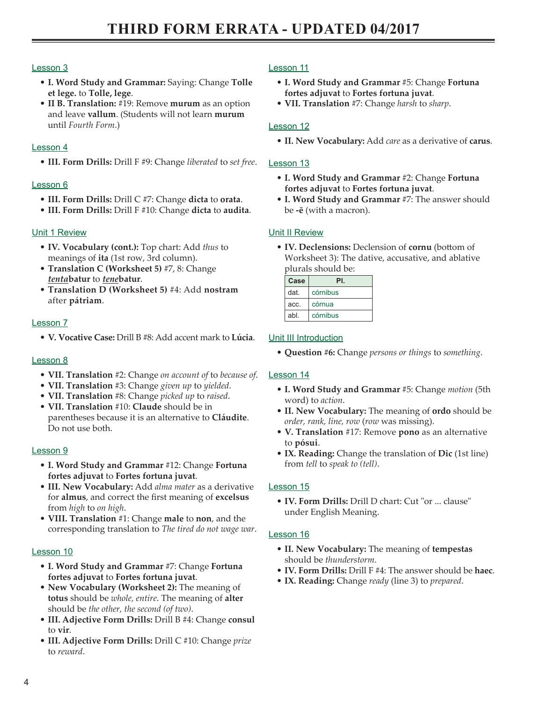### Lesson 3

- **I. Word Study and Grammar:** Saying: Change **Tolle et lege.** to **Tolle, lege**.
- **II B. Translation:** #19: Remove **murum** as an option and leave **vallum**. (Students will not learn **murum** until *Fourth Form*.)

### Lesson 4

• **III. Form Drills:** Drill F #9: Change *liberated* to *set free*.

### Lesson 6

- **III. Form Drills:** Drill C #7: Change **dicta** to **orata**.
- **III. Form Drills:** Drill F #10: Change **dicta** to **audita**.

### Unit 1 Review

- **IV. Vocabulary (cont.):** Top chart: Add *thus* to meanings of **ita** (1st row, 3rd column).
- **Translation C (Worksheet 5)** #7, 8: Change *tenta***batur** to *tene***batur**.
- **Translation D (Worksheet 5)** #4: Add **nostram** after **pátriam**.

#### Lesson 7

• **V. Vocative Case:** Drill B #8: Add accent mark to **Lúcia**.

#### Lesson 8

- **VII. Translation** #2: Change *on account of* to *because of*.
- **VII. Translation** #3: Change *given up* to *yielded*.
- **VII. Translation** #8: Change *picked up* to *raised*.
- **VII. Translation** #10: **Claude** should be in parentheses because it is an alternative to **Cláudite**. Do not use both.

#### Lesson 9

- **I. Word Study and Grammar** #12: Change **Fortuna fortes adjuvat** to **Fortes fortuna juvat**.
- **III. New Vocabulary:** Add *alma mater* as a derivative for **almus**, and correct the first meaning of **excelsus** from *high* to *on high*.
- **VIII. Translation** #1: Change **male** to **non**, and the corresponding translation to *The tired do not wage war*.

#### Lesson 10

- **I. Word Study and Grammar** #7: Change **Fortuna fortes adjuvat** to **Fortes fortuna juvat**.
- **New Vocabulary (Worksheet 2):** The meaning of **totus** should be *whole, entire*. The meaning of **alter** should be *the other, the second (of two)*.
- **III. Adjective Form Drills:** Drill B #4: Change **consul** to **vir**.
- **III. Adjective Form Drills:** Drill C #10: Change *prize* to *reward*.

### Lesson 11

- **I. Word Study and Grammar** #5: Change **Fortuna fortes adjuvat** to **Fortes fortuna juvat**.
- **VII. Translation** #7: Change *harsh* to *sharp*.

### Lesson 12

• **II. New Vocabulary:** Add *care* as a derivative of **carus**.

#### Lesson 13

- **I. Word Study and Grammar** #2: Change **Fortuna fortes adjuvat** to **Fortes fortuna juvat**.
- **I. Word Study and Grammar** #7: The answer should be **-ē** (with a macron).

### Unit II Review

• **IV. Declensions:** Declension of **cornu** (bottom of Worksheet 3): The dative, accusative, and ablative plurals should be:

| Case | PL.      |
|------|----------|
| dat. | córnibus |
| acc. | córnua   |
| abl  | córnibus |

#### **Unit III Introduction**

• **Question #6:** Change *persons or things* to *something*.

#### Lesson 14

- **I. Word Study and Grammar** #5: Change *motion* (5th word) to *action*.
- **II. New Vocabulary:** The meaning of **ordo** should be *order, rank, line, row* (*row* was missing).
- **V. Translation** #17: Remove **pono** as an alternative to **pósui**.
- **IX. Reading:** Change the translation of **Dic** (1st line) from *tell* to *speak to (tell)*.

#### Lesson 15

• **IV. Form Drills:** Drill D chart: Cut "or ... clause" under English Meaning.

## Lesson 16

- **II. New Vocabulary:** The meaning of **tempestas** should be *thunderstorm*.
- **IV. Form Drills:** Drill F #4: The answer should be **haec**.
- **IX. Reading:** Change *ready* (line 3) to *prepared*.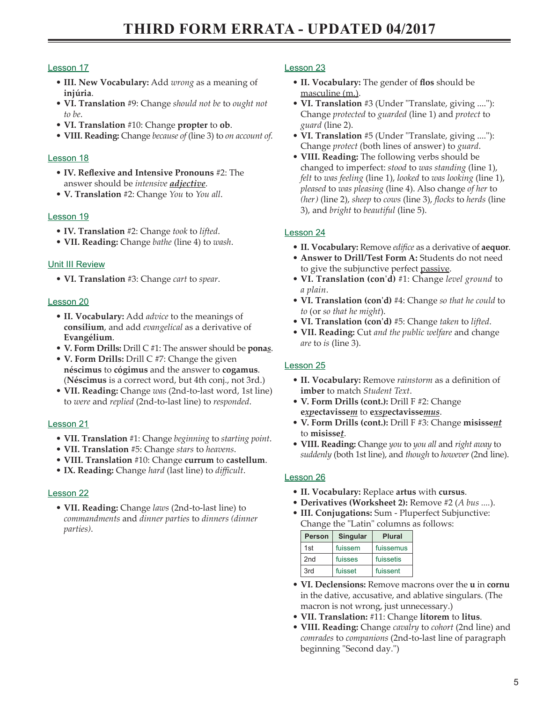# Lesson 17

- **III. New Vocabulary:** Add *wrong* as a meaning of **injúria**.
- **VI. Translation** #9: Change *should not be* to *ought not to be*.
- **VI. Translation** #10: Change **propter** to **ob**.
- **VIII. Reading:** Change *because of* (line 3) to *on account of*.

## Lesson 18

- **IV. Reflexive and Intensive Pronouns** #2: The answer should be *intensive adjective*.
- **V. Translation** #2: Change *You* to *You all*.

## Lesson 19

- **IV. Translation** #2: Change *took* to *lifted*.
- **VII. Reading:** Change *bathe* (line 4) to *wash*.

### Unit III Review

• **VI. Translation** #3: Change *cart* to *spear*.

### Lesson 20

- **II. Vocabulary:** Add *advice* to the meanings of **consílium**, and add *evangelical* as a derivative of **Evangélium**.
- **V. Form Drills:** Drill C #1: The answer should be **pona***s*.
- **V. Form Drills:** Drill C #7: Change the given **néscimus** to **cógimus** and the answer to **cogamus**. (**Néscimus** is a correct word, but 4th conj., not 3rd.)
- **VII. Reading:** Change *was* (2nd-to-last word, 1st line) to *were* and *replied* (2nd-to-last line) to *responded*.

#### Lesson 21

- **VII. Translation** #1: Change *beginning* to *starting point*.
- **VII. Translation** #5: Change *stars* to *heavens*.
- **VIII. Translation** #10: Change **currum** to **castellum**.
- **IX. Reading:** Change *hard* (last line) to *difficult*.

## Lesson 22

• **VII. Reading:** Change *laws* (2nd-to-last line) to *commandments* and *dinner parties* to *dinners (dinner parties)*.

### Lesson 23

- **II. Vocabulary:** The gender of **flos** should be masculine (m.).
- **VI. Translation** #3 (Under "Translate, giving ...."): Change *protected* to *guarded* (line 1) and *protect* to *guard* (line 2).
- **VI. Translation** #5 (Under "Translate, giving ...."): Change *protect* (both lines of answer) to *guard*.
- **VIII. Reading:** The following verbs should be changed to imperfect: *stood* to *was standing* (line 1), *felt* to *was feeling* (line 1), *looked* to *was looking* (line 1), *pleased* to *was pleasing* (line 4). Also change *of her* to *(her)* (line 2), *sheep* to *cows* (line 3), *flocks* to *herds* (line 3), and *bright* to *beautiful* (line 5).

## Lesson 24

- **II. Vocabulary:** Remove *edifice* as a derivative of **aequor**.
- **Answer to Drill/Test Form A:** Students do not need to give the subjunctive perfect passive.
- **VI. Translation (con'd)** #1: Change *level ground* to *a plain*.
- **VI. Translation (con'd)** #4: Change *so that he could* to *to* (or *so that he might*).
- **VI. Translation (con'd)** #5: Change *taken* to *lifted*.
- **VII. Reading:** Cut *and the public welfare* and change *are* to *is* (line 3).

## Lesson 25

- **II. Vocabulary:** Remove *rainstorm* as a definition of **imber** to match *Student Text*.
- **V. Form Drills (cont.):** Drill F #2: Change **e***xp***ectavisse***m* to **e***xsp***ectavisse***mus*.
- **V. Form Drills (cont.):** Drill F #3: Change **misisse***nt* to **misisse***t*.
- **VIII. Reading:** Change *you* to *you all* and *right away* to *suddenly* (both 1st line), and *though* to *however* (2nd line).

## Lesson 26

- **II. Vocabulary:** Replace **artus** with **cursus**.
- **Derivatives (Worksheet 2):** Remove #2 (*A bus ....*).
- **III. Conjugations:** Sum Pluperfect Subjunctive: Change the "Latin" columns as follows:

| <b>Person</b> | Singular | <b>Plural</b> |
|---------------|----------|---------------|
| 1st           | fuissem  | fuissemus     |
| 2nd           | fuisses  | fuissetis     |
| 3rd           | fuisset  | fuissent      |

- **VI. Declensions:** Remove macrons over the **u** in **cornu** in the dative, accusative, and ablative singulars. (The macron is not wrong, just unnecessary.)
- **VII. Translation:** #11: Change **lítorem** to **litus**.
- **VIII. Reading:** Change *cavalry* to *cohort* (2nd line) and *comrades* to *companions* (2nd-to-last line of paragraph beginning "Second day.")